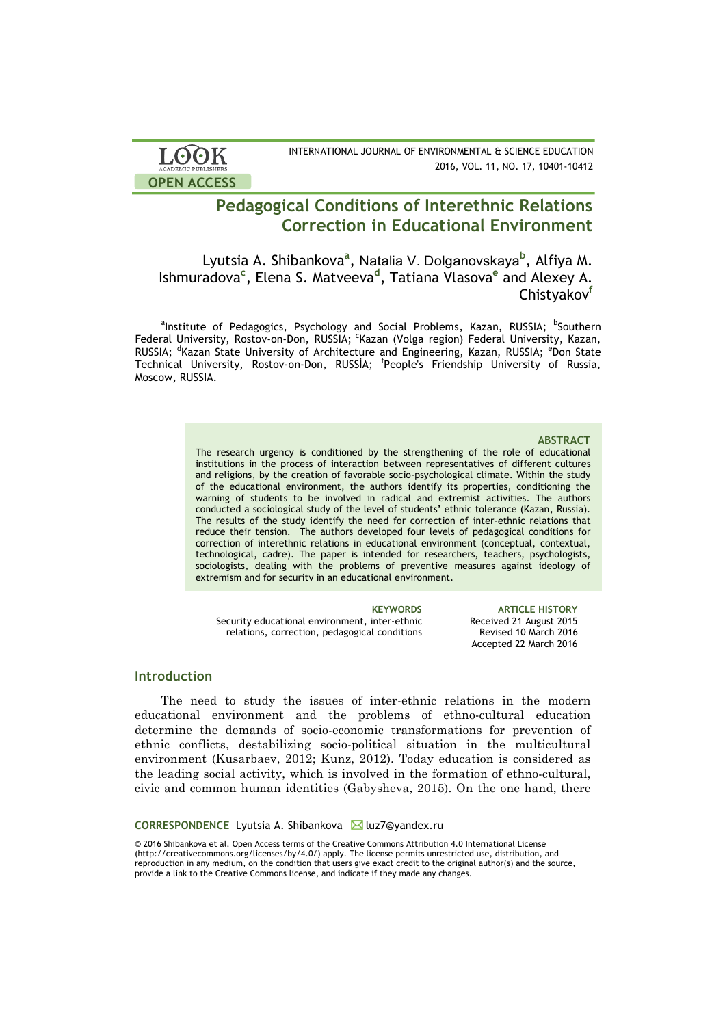

INTERNATIONAL JOURNAL OF ENVIRONMENTAL & SCIENCE EDUCATION 2016, VOL. 11, NO. 17, 10401-10412

# **Pedagogical Conditions of Interethnic Relations Correction in Educational Environment**

Lyutsia A. Shibankova<sup>a</sup>, Natalia V. Dolganovskaya<sup>b</sup>, Alfiya M. Ishmuradova**<sup>c</sup>** , Elena S. Matveeva**<sup>d</sup>** , Tatiana Vlasova**<sup>e</sup>** and Alexey A. Chistyakov<sup>t</sup>

<sup>a</sup>Institute of Pedagogics, Psychology and Social Problems, Kazan, RUSSIA; <sup>b</sup>Southern Federal University, Rostov-on-Don, RUSSIA; <sup>c</sup>Kazan (Volga region) Federal University, Kazan, RUSSIA; <sup>d</sup>Kazan State University of Architecture and Engineering, Kazan, RUSSIA; <sup>e</sup>Don State Technical University, Rostov-on-Don, RUSSİA; <sup>f</sup> People's Friendship University of Russia, Moscow, RUSSIA.

### **ABSTRACT**

The research urgency is conditioned by the strengthening of the role of educational institutions in the process of interaction between representatives of different cultures and religions, by the creation of favorable socio-psychological climate. Within the study of the educational environment, the authors identify its properties, conditioning the warning of students to be involved in radical and extremist activities. The authors conducted a sociological study of the level of students' ethnic tolerance (Kazan, Russia). The results of the study identify the need for correction of inter-ethnic relations that reduce their tension. The authors developed four levels of pedagogical conditions for correction of interethnic relations in educational environment (conceptual, contextual, technological, cadre). The paper is intended for researchers, teachers, psychologists, sociologists, dealing with the problems of preventive measures against ideology of extremism and for security in an educational environment.

Security educational environment, inter-ethnic relations, correction, pedagogical conditions

**KEYWORDS ARTICLE HISTORY** Received 21 August 2015 Revised 10 March 2016 Accepted 22 March 2016

### **Introduction**

The need to study the issues of inter-ethnic relations in the modern educational environment and the problems of ethno-cultural education determine the demands of socio-economic transformations for prevention of ethnic conflicts, destabilizing socio-political situation in the multicultural environment (Kusarbaev, 2012; Kunz, 2012). Today education is considered as the leading social activity, which is involved in the formation of ethno-cultural, civic and common human identities (Gabysheva, 2015). On the one hand, there

### CORRESPONDENCE Lyutsia A. Shibankova **M** luz7@yandex.ru

© 2016 Shibankova et al. Open Access terms of the Creative Commons Attribution 4.0 International License (http://creativecommons.org/licenses/by/4.0/) apply. The license permits unrestricted use, distribution, and reproduction in any medium, on the condition that users give exact credit to the original author(s) and the source, provide a link to the Creative Commons license, and indicate if they made any changes.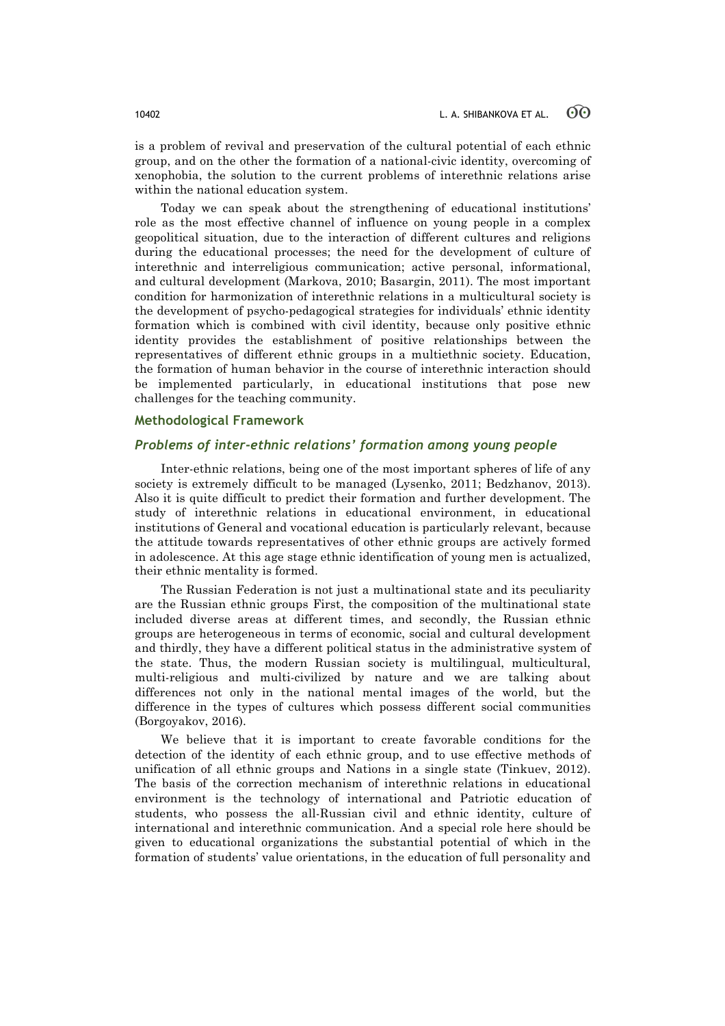is a problem of revival and preservation of the cultural potential of each ethnic group, and on the other the formation of a national-civic identity, overcoming of xenophobia, the solution to the current problems of interethnic relations arise within the national education system.

Today we can speak about the strengthening of educational institutions' role as the most effective channel of influence on young people in a complex geopolitical situation, due to the interaction of different cultures and religions during the educational processes; the need for the development of culture of interethnic and interreligious communication; active personal, informational, and cultural development (Markova, 2010; Basargin, 2011). The most important condition for harmonization of interethnic relations in a multicultural society is the development of psycho-pedagogical strategies for individuals' ethnic identity formation which is combined with civil identity, because only positive ethnic identity provides the establishment of positive relationships between the representatives of different ethnic groups in a multiethnic society. Education, the formation of human behavior in the course of interethnic interaction should be implemented particularly, in educational institutions that pose new challenges for the teaching community.

### **Methodological Framework**

### *Problems of inter-ethnic relations' formation among young people*

Inter-ethnic relations, being one of the most important spheres of life of any society is extremely difficult to be managed (Lysenko, 2011; Bedzhanov, 2013). Also it is quite difficult to predict their formation and further development. The study of interethnic relations in educational environment, in educational institutions of General and vocational education is particularly relevant, because the attitude towards representatives of other ethnic groups are actively formed in adolescence. At this age stage ethnic identification of young men is actualized, their ethnic mentality is formed.

The Russian Federation is not just a multinational state and its peculiarity are the Russian ethnic groups First, the composition of the multinational state included diverse areas at different times, and secondly, the Russian ethnic groups are heterogeneous in terms of economic, social and cultural development and thirdly, they have a different political status in the administrative system of the state. Thus, the modern Russian society is multilingual, multicultural, multi-religious and multi-civilized by nature and we are talking about differences not only in the national mental images of the world, but the difference in the types of cultures which possess different social communities (Borgoyakov, 2016).

We believe that it is important to create favorable conditions for the detection of the identity of each ethnic group, and to use effective methods of unification of all ethnic groups and Nations in a single state (Tinkuev, 2012). The basis of the correction mechanism of interethnic relations in educational environment is the technology of international and Patriotic education of students, who possess the all-Russian civil and ethnic identity, culture of international and interethnic communication. And a special role here should be given to educational organizations the substantial potential of which in the formation of students' value orientations, in the education of full personality and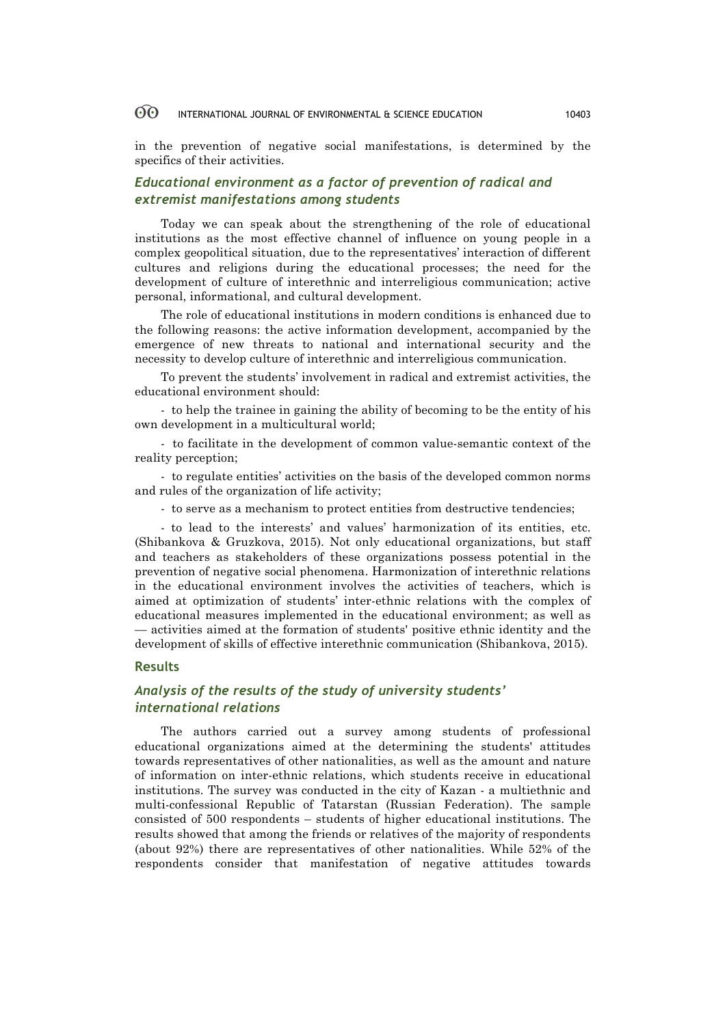in the prevention of negative social manifestations, is determined by the specifics of their activities.

# *Educational environment as a factor of prevention of radical and extremist manifestations among students*

Today we can speak about the strengthening of the role of educational institutions as the most effective channel of influence on young people in a complex geopolitical situation, due to the representatives' interaction of different cultures and religions during the educational processes; the need for the development of culture of interethnic and interreligious communication; active personal, informational, and cultural development.

The role of educational institutions in modern conditions is enhanced due to the following reasons: the active information development, accompanied by the emergence of new threats to national and international security and the necessity to develop culture of interethnic and interreligious communication.

To prevent the students' involvement in radical and extremist activities, the educational environment should:

- to help the trainee in gaining the ability of becoming to be the entity of his own development in a multicultural world;

- to facilitate in the development of common value-semantic context of the reality perception;

- to regulate entities' activities on the basis of the developed common norms and rules of the organization of life activity;

- to serve as a mechanism to protect entities from destructive tendencies;

- to lead to the interests' and values' harmonization of its entities, etc. (Shibankova & Gruzkova, 2015). Not only educational organizations, but staff and teachers as stakeholders of these organizations possess potential in the prevention of negative social phenomena. Harmonization of interethnic relations in the educational environment involves the activities of teachers, which is aimed at optimization of students' inter-ethnic relations with the complex of educational measures implemented in the educational environment; as well as — activities aimed at the formation of students' positive ethnic identity and the development of skills of effective interethnic communication (Shibankova, 2015).

### **Results**

# *Analysis of the results of the study of university students' international relations*

The authors carried out a survey among students of professional educational organizations aimed at the determining the students' attitudes towards representatives of other nationalities, as well as the amount and nature of information on inter-ethnic relations, which students receive in educational institutions. The survey was conducted in the city of Kazan - a multiethnic and multi-confessional Republic of Tatarstan (Russian Federation). The sample consisted of 500 respondents – students of higher educational institutions. The results showed that among the friends or relatives of the majority of respondents (about 92%) there are representatives of other nationalities. While 52% of the respondents consider that manifestation of negative attitudes towards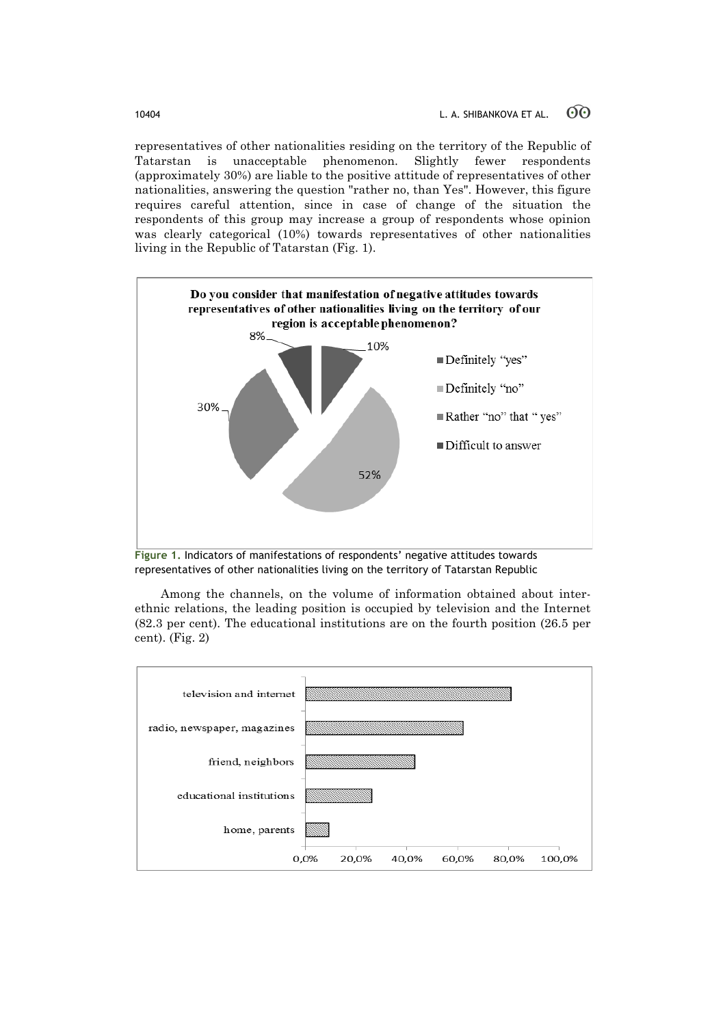representatives of other nationalities residing on the territory of the Republic of Tatarstan is unacceptable phenomenon. Slightly fewer respondents (approximately 30%) are liable to the positive attitude of representatives of other nationalities, answering the question "rather no, than Yes". However, this figure requires careful attention, since in case of change of the situation the respondents of this group may increase a group of respondents whose opinion was clearly categorical (10%) towards representatives of other nationalities living in the Republic of Tatarstan (Fig. 1).



**Figure 1.** Indicators of manifestations of respondents' negative attitudes towards representatives of other nationalities living on the territory of Tatarstan Republic

Among the channels, on the volume of information obtained about interethnic relations, the leading position is occupied by television and the Internet (82.3 per cent). The educational institutions are on the fourth position (26.5 per cent). (Fig. 2)

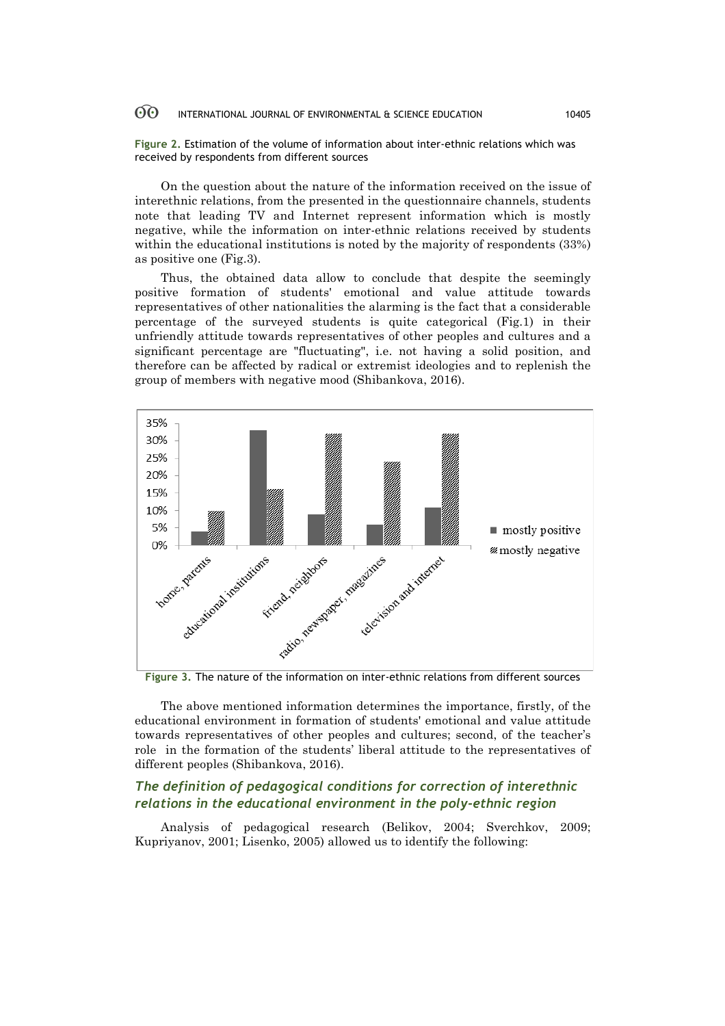**Figure 2.** Estimation of the volume of information about inter-ethnic relations which was received by respondents from different sources

On the question about the nature of the information received on the issue of interethnic relations, from the presented in the questionnaire channels, students note that leading TV and Internet represent information which is mostly negative, while the information on inter-ethnic relations received by students within the educational institutions is noted by the majority of respondents (33%) as positive one (Fig.3).

Thus, the obtained data allow to conclude that despite the seemingly positive formation of students' emotional and value attitude towards representatives of other nationalities the alarming is the fact that a considerable percentage of the surveyed students is quite categorical (Fig.1) in their unfriendly attitude towards representatives of other peoples and cultures and a significant percentage are "fluctuating", i.e. not having a solid position, and therefore can be affected by radical or extremist ideologies and to replenish the group of members with negative mood (Shibankova, 2016).



**Figure 3.** The nature of the information on inter-ethnic relations from different sources

The above mentioned information determines the importance, firstly, of the educational environment in formation of students' emotional and value attitude towards representatives of other peoples and cultures; second, of the teacher's role in the formation of the students' liberal attitude to the representatives of different peoples (Shibankova, 2016).

# *The definition of pedagogical conditions for correction of interethnic relations in the educational environment in the poly-ethnic region*

Analysis of pedagogical research (Belikov, 2004; Sverchkov, 2009; Kupriyanov, 2001; Lisenko, 2005) allowed us to identify the following: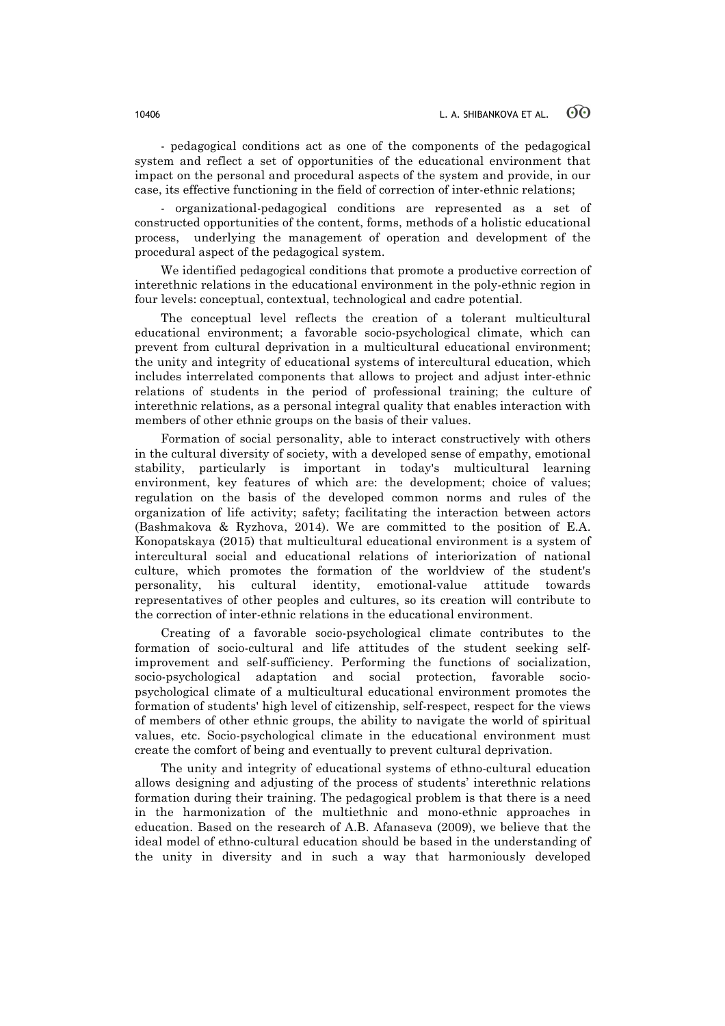- pedagogical conditions act as one of the components of the pedagogical system and reflect a set of opportunities of the educational environment that impact on the personal and procedural aspects of the system and provide, in our case, its effective functioning in the field of correction of inter-ethnic relations;

- organizational-pedagogical conditions are represented as a set of constructed opportunities of the content, forms, methods of a holistic educational process, underlying the management of operation and development of the procedural aspect of the pedagogical system.

We identified pedagogical conditions that promote a productive correction of interethnic relations in the educational environment in the poly-ethnic region in four levels: conceptual, contextual, technological and cadre potential.

The conceptual level reflects the creation of a tolerant multicultural educational environment; a favorable socio-psychological climate, which can prevent from cultural deprivation in a multicultural educational environment; the unity and integrity of educational systems of intercultural education, which includes interrelated components that allows to project and adjust inter-ethnic relations of students in the period of professional training; the culture of interethnic relations, as a personal integral quality that enables interaction with members of other ethnic groups on the basis of their values.

Formation of social personality, able to interact constructively with others in the cultural diversity of society, with a developed sense of empathy, emotional stability, particularly is important in today's multicultural learning environment, key features of which are: the development; choice of values; regulation on the basis of the developed common norms and rules of the organization of life activity; safety; facilitating the interaction between actors (Bashmakova & Ryzhova, 2014). We are committed to the position of E.A. Konopatskaya (2015) that multicultural educational environment is a system of intercultural social and educational relations of interiorization of national culture, which promotes the formation of the worldview of the student's personality, his cultural identity, emotional-value attitude towards representatives of other peoples and cultures, so its creation will contribute to the correction of inter-ethnic relations in the educational environment.

Creating of a favorable socio-psychological climate contributes to the formation of socio-cultural and life attitudes of the student seeking selfimprovement and self-sufficiency. Performing the functions of socialization, socio-psychological adaptation and social protection, favorable sociopsychological climate of a multicultural educational environment promotes the formation of students' high level of citizenship, self-respect, respect for the views of members of other ethnic groups, the ability to navigate the world of spiritual values, etc. Socio-psychological climate in the educational environment must create the comfort of being and eventually to prevent cultural deprivation.

The unity and integrity of educational systems of ethno-cultural education allows designing and adjusting of the process of students' interethnic relations formation during their training. The pedagogical problem is that there is a need in the harmonization of the multiethnic and mono-ethnic approaches in education. Based on the research of A.B. Afanaseva (2009), we believe that the ideal model of ethno-cultural education should be based in the understanding of the unity in diversity and in such a way that harmoniously developed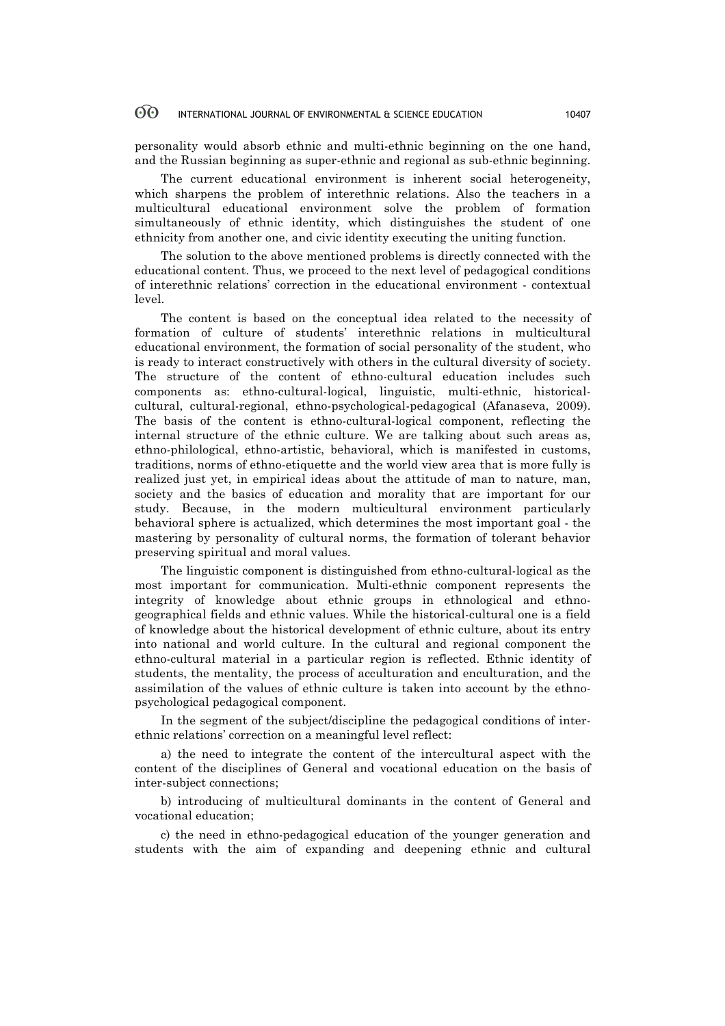personality would absorb ethnic and multi-ethnic beginning on the one hand, and the Russian beginning as super-ethnic and regional as sub-ethnic beginning.

The current educational environment is inherent social heterogeneity, which sharpens the problem of interethnic relations. Also the teachers in a multicultural educational environment solve the problem of formation simultaneously of ethnic identity, which distinguishes the student of one ethnicity from another one, and civic identity executing the uniting function.

The solution to the above mentioned problems is directly connected with the educational content. Thus, we proceed to the next level of pedagogical conditions of interethnic relations' correction in the educational environment - contextual level.

The content is based on the conceptual idea related to the necessity of formation of culture of students' interethnic relations in multicultural educational environment, the formation of social personality of the student, who is ready to interact constructively with others in the cultural diversity of society. The structure of the content of ethno-cultural education includes such components as: ethno-cultural-logical, linguistic, multi-ethnic, historicalcultural, cultural-regional, ethno-psychological-pedagogical (Afanaseva, 2009). The basis of the content is ethno-cultural-logical component, reflecting the internal structure of the ethnic culture. We are talking about such areas as, ethno-philological, ethno-artistic, behavioral, which is manifested in customs, traditions, norms of ethno-etiquette and the world view area that is more fully is realized just yet, in empirical ideas about the attitude of man to nature, man, society and the basics of education and morality that are important for our study. Because, in the modern multicultural environment particularly behavioral sphere is actualized, which determines the most important goal - the mastering by personality of cultural norms, the formation of tolerant behavior preserving spiritual and moral values.

The linguistic component is distinguished from ethno-cultural-logical as the most important for communication. Multi-ethnic component represents the integrity of knowledge about ethnic groups in ethnological and ethnogeographical fields and ethnic values. While the historical-cultural one is a field of knowledge about the historical development of ethnic culture, about its entry into national and world culture. In the cultural and regional component the ethno-cultural material in a particular region is reflected. Ethnic identity of students, the mentality, the process of acculturation and enculturation, and the assimilation of the values of ethnic culture is taken into account by the ethnopsychological pedagogical component.

In the segment of the subject/discipline the pedagogical conditions of interethnic relations' correction on a meaningful level reflect:

a) the need to integrate the content of the intercultural aspect with the content of the disciplines of General and vocational education on the basis of inter-subject connections;

b) introducing of multicultural dominants in the content of General and vocational education;

c) the need in ethno-pedagogical education of the younger generation and students with the aim of expanding and deepening ethnic and cultural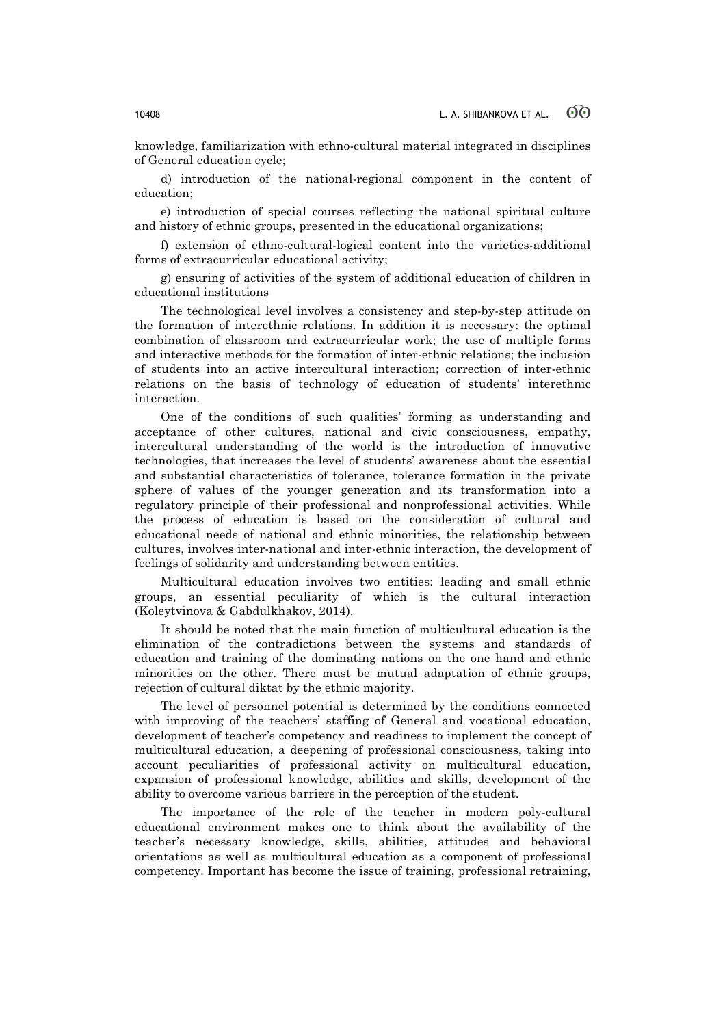knowledge, familiarization with ethno-cultural material integrated in disciplines of General education cycle;

d) introduction of the national-regional component in the content of education;

e) introduction of special courses reflecting the national spiritual culture and history of ethnic groups, presented in the educational organizations;

f) extension of ethno-cultural-logical content into the varieties-additional forms of extracurricular educational activity;

g) ensuring of activities of the system of additional education of children in educational institutions

The technological level involves a consistency and step-by-step attitude on the formation of interethnic relations. In addition it is necessary: the optimal combination of classroom and extracurricular work; the use of multiple forms and interactive methods for the formation of inter-ethnic relations; the inclusion of students into an active intercultural interaction; correction of inter-ethnic relations on the basis of technology of education of students' interethnic interaction.

One of the conditions of such qualities' forming as understanding and acceptance of other cultures, national and civic consciousness, empathy, intercultural understanding of the world is the introduction of innovative technologies, that increases the level of students' awareness about the essential and substantial characteristics of tolerance, tolerance formation in the private sphere of values of the younger generation and its transformation into a regulatory principle of their professional and nonprofessional activities. While the process of education is based on the consideration of cultural and educational needs of national and ethnic minorities, the relationship between cultures, involves inter-national and inter-ethnic interaction, the development of feelings of solidarity and understanding between entities.

Multicultural education involves two entities: leading and small ethnic groups, an essential peculiarity of which is the cultural interaction (Koleytvinova & Gabdulkhakov, 2014).

It should be noted that the main function of multicultural education is the elimination of the contradictions between the systems and standards of education and training of the dominating nations on the one hand and ethnic minorities on the other. There must be mutual adaptation of ethnic groups, rejection of cultural diktat by the ethnic majority.

The level of personnel potential is determined by the conditions connected with improving of the teachers' staffing of General and vocational education, development of teacher's competency and readiness to implement the concept of multicultural education, a deepening of professional consciousness, taking into account peculiarities of professional activity on multicultural education, expansion of professional knowledge, abilities and skills, development of the ability to overcome various barriers in the perception of the student.

The importance of the role of the teacher in modern poly-cultural educational environment makes one to think about the availability of the teacher's necessary knowledge, skills, abilities, attitudes and behavioral orientations as well as multicultural education as a component of professional competency. Important has become the issue of training, professional retraining,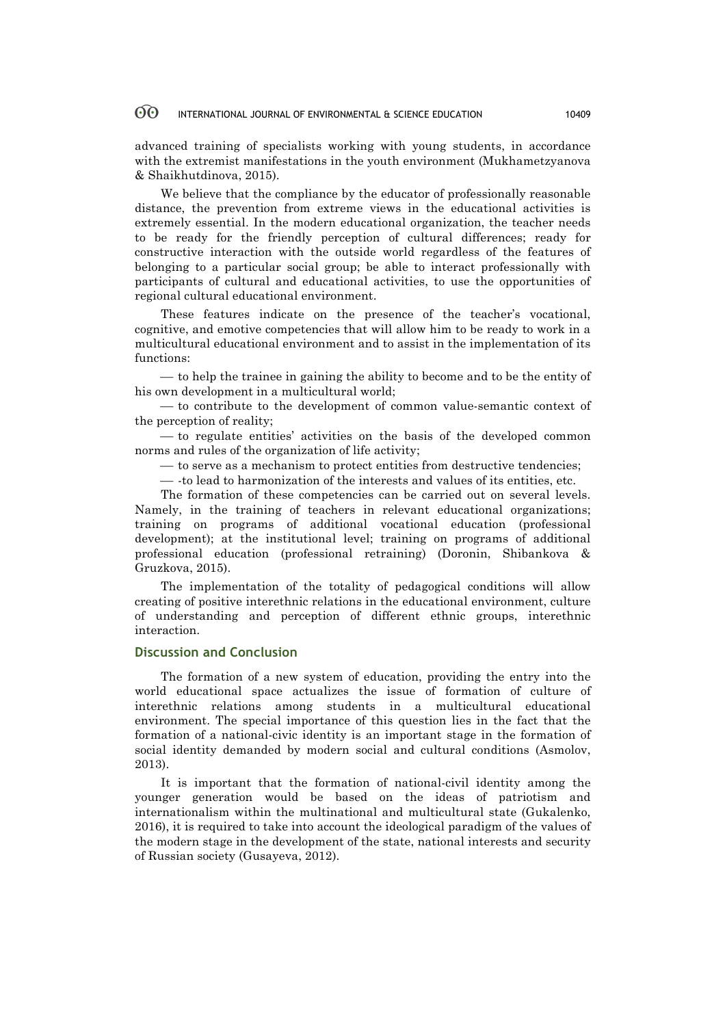advanced training of specialists working with young students, in accordance with the extremist manifestations in the youth environment (Mukhametzyanova & Shaikhutdinova, 2015).

We believe that the compliance by the educator of professionally reasonable distance, the prevention from extreme views in the educational activities is extremely essential. In the modern educational organization, the teacher needs to be ready for the friendly perception of cultural differences; ready for constructive interaction with the outside world regardless of the features of belonging to a particular social group; be able to interact professionally with participants of cultural and educational activities, to use the opportunities of regional cultural educational environment.

These features indicate on the presence of the teacher's vocational, cognitive, and emotive competencies that will allow him to be ready to work in a multicultural educational environment and to assist in the implementation of its functions:

¾ to help the trainee in gaining the ability to become and to be the entity of his own development in a multicultural world;

— to contribute to the development of common value-semantic context of the perception of reality;

¾ to regulate entities' activities on the basis of the developed common norms and rules of the organization of life activity;

¾ to serve as a mechanism to protect entities from destructive tendencies;

¾ -to lead to harmonization of the interests and values of its entities, etc.

The formation of these competencies can be carried out on several levels. Namely, in the training of teachers in relevant educational organizations; training on programs of additional vocational education (professional development); at the institutional level; training on programs of additional professional education (professional retraining) (Doronin, Shibankova & Gruzkova, 2015).

The implementation of the totality of pedagogical conditions will allow creating of positive interethnic relations in the educational environment, culture of understanding and perception of different ethnic groups, interethnic interaction.

## **Discussion and Conclusion**

The formation of a new system of education, providing the entry into the world educational space actualizes the issue of formation of culture of interethnic relations among students in a multicultural educational environment. The special importance of this question lies in the fact that the formation of a national-civic identity is an important stage in the formation of social identity demanded by modern social and cultural conditions (Asmolov, 2013).

It is important that the formation of national-civil identity among the younger generation would be based on the ideas of patriotism and internationalism within the multinational and multicultural state (Gukalenko, 2016), it is required to take into account the ideological paradigm of the values of the modern stage in the development of the state, national interests and security of Russian society (Gusayeva, 2012).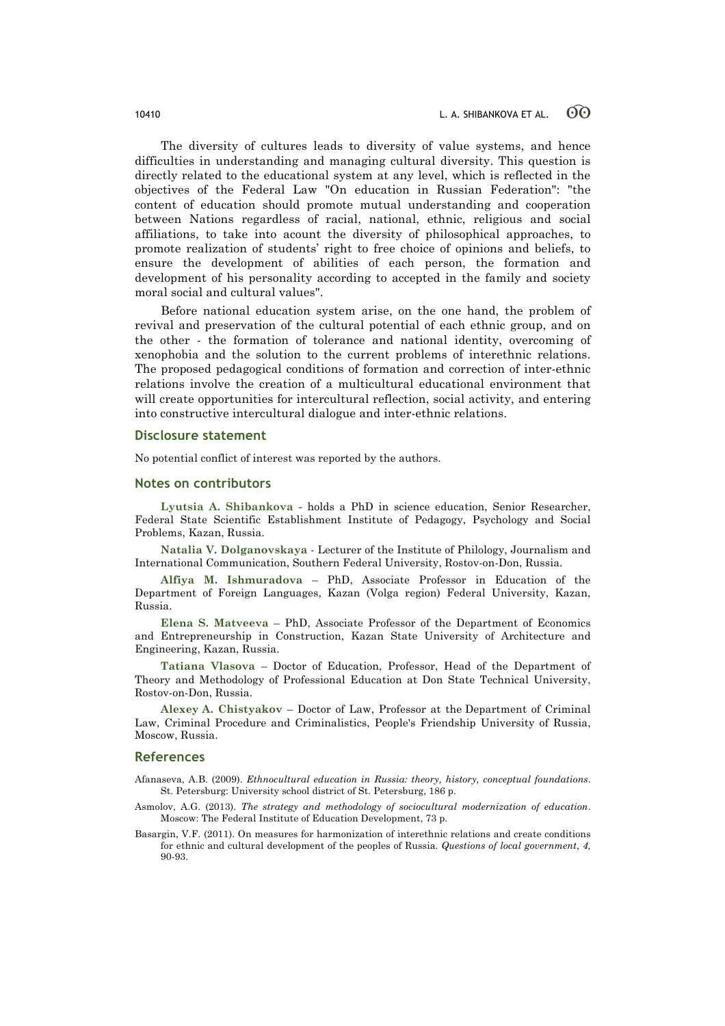The diversity of cultures leads to diversity of value systems, and hence difficulties in understanding and managing cultural diversity. This question is directly related to the educational system at any level, which is reflected in the objectives of the Federal Law "On education in Russian Federation": "the content of education should promote mutual understanding and cooperation between Nations regardless of racial, national, ethnic, religious and social affiliations, to take into acount the diversity of philosophical approaches, to promote realization of students' right to free choice of opinions and beliefs, to ensure the development of abilities of each person, the formation and development of his personality according to accepted in the family and society moral social and cultural values".

Before national education system arise, on the one hand, the problem of revival and preservation of the cultural potential of each ethnic group, and on the other - the formation of tolerance and national identity, overcoming of xenophobia and the solution to the current problems of interethnic relations. The proposed pedagogical conditions of formation and correction of inter-ethnic relations involve the creation of a multicultural educational environment that will create opportunities for intercultural reflection, social activity, and entering into constructive intercultural dialogue and inter-ethnic relations.

### **Disclosure statement**

No potential conflict of interest was reported by the authors.

### **Notes on contributors**

**Lyutsia A. Shibankova -** holds a PhD in science education, Senior Researcher, Federal State Scientific Establishment Institute of Pedagogy, Psychology and Social Problems, Kazan, Russia.

**Natalia V. Dolganovskaya** - Lecturer of the Institute of Philology, Journalism and International Communication, Southern Federal University, Rostov-on-Don, Russia.

**Alfiya M. Ishmuradova** – PhD, Associate Professor in Education of the Department of Foreign Languages, Kazan (Volga region) Federal University, Kazan, Russia.

**Elena S. Matveeva** – PhD, Associate Professor of the Department of Economics and Entrepreneurship in Construction, Kazan State University of Architecture and Engineering, Kazan, Russia.

**Tatiana Vlasova** – Doctor of Education, Professor, Head of the Department of Theory and Methodology of Professional Education at Don State Technical University, Rostov-on-Don, Russia.

**Alexey A. Chistyakov** – Doctor of Law, Professor at the Department of Criminal Law, Criminal Procedure and Criminalistics, People's Friendship University of Russia, Moscow, Russia.

### **References**

Afanaseva, A.B. (2009). *Ethnocultural education in Russia: theory, history, conceptual foundations*. St. Petersburg: University school district of St. Petersburg, 186 p.

- Asmolov, A.G. (2013). *The strategy and methodology of sociocultural modernization of education*. Moscow: The Federal Institute of Education Development, 73 p.
- Basargin, V.F. (2011). On measures for harmonization of interethnic relations and create conditions for ethnic and cultural development of the peoples of Russia. *Questions of local government*, *4,* 90-93.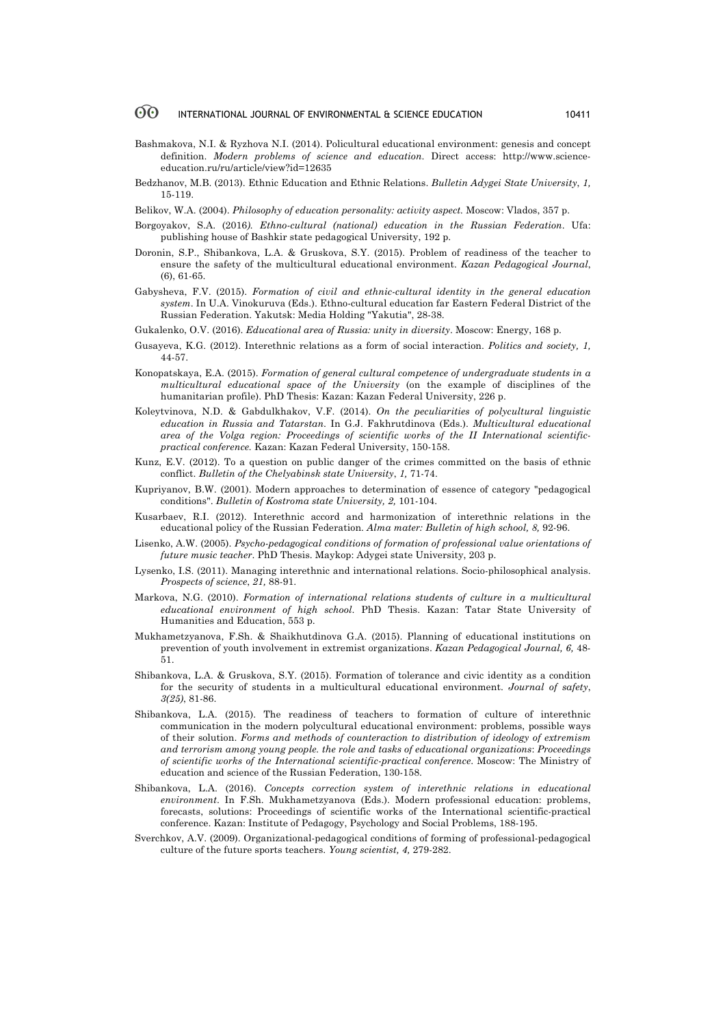- Bashmakova, N.I. & Ryzhova N.I. (2014). Policultural educational environment: genesis and concept definition. *Modern problems of science and education*. Direct access: http://www.scienceeducation.ru/ru/article/view?id=12635
- Bedzhanov, M.B. (2013). Ethnic Education and Ethnic Relations. *Bulletin Adygei State University*, *1,* 15-119.
- Belikov, W.A. (2004). *Philosophy of education personality: activity aspect.* Moscow: Vlados, 357 p.
- Borgoyakov, S.A. (2016*). Ethno-cultural (national) education in the Russian Federation*. Ufa: publishing house of Bashkir state pedagogical University, 192 p.
- Doronin, S.P., Shibankova, L.A. & Gruskova, S.Y. (2015). Problem of readiness of the teacher to ensure the safety of the multicultural educational environment. *Kazan Pedagogical Journal*, (6), 61-65.
- Gabysheva, F.V. (2015). *Formation of civil and ethnic-cultural identity in the general education system*. In U.A. Vinokuruva (Eds.). Ethno-cultural education far Eastern Federal District of the Russian Federation. Yakutsk: Media Holding "Yakutia", 28-38.
- Gukalenko, O.V. (2016). *Educational area of Russia: unity in diversity*. Moscow: Energy, 168 p.
- Gusayeva, K.G. (2012). Interethnic relations as a form of social interaction. *Politics and society, 1,* 44-57.
- Konopatskaya, E.A. (2015). *Formation of general cultural competence of undergraduate students in a multicultural educational space of the University* (on the example of disciplines of the humanitarian profile). PhD Thesis: Kazan: Kazan Federal University, 226 p.
- Koleytvinova, N.D. & Gabdulkhakov, V.F. (2014). *On the peculiarities of polycultural linguistic education in Russia and Tatarstan*. In G.J. Fakhrutdinova (Eds.). *Multicultural educational area of the Volga region: Proceedings of scientific works of the II International scientificpractical conference.* Kazan: Kazan Federal University, 150-158.
- Kunz, E.V. (2012). To a question on public danger of the crimes committed on the basis of ethnic conflict. *Bulletin of the Chelyabinsk state University*, *1,* 71-74.
- Kupriyanov, B.W. (2001). Modern approaches to determination of essence of category "pedagogical conditions". *Bulletin of Kostroma state University, 2,* 101-104.
- Kusarbaev, R.I. (2012). Interethnic accord and harmonization of interethnic relations in the educational policy of the Russian Federation. *Alma mater: Bulletin of high school, 8,* 92-96.
- Lisenko, A.W. (2005). *Psycho-pedagogical conditions of formation of professional value orientations of future music teacher*. PhD Thesis. Maykop: Adygei state University, 203 p.
- Lysenko, I.S. (2011). Managing interethnic and international relations. Socio-philosophical analysis. *Prospects of science*, *21,* 88-91.
- Markova, N.G. (2010). *Formation of international relations students of culture in a multicultural educational environment of high school*. PhD Thesis. Kazan: Tatar State University of Humanities and Education, 553 p.
- Mukhametzyanova, F.Sh. & Shaikhutdinova G.A. (2015). Planning of educational institutions on prevention of youth involvement in extremist organizations. *Kazan Pedagogical Journal, 6,* 48- 51.
- Shibankova, L.A. & Gruskova, S.Y. (2015). Formation of tolerance and civic identity as a condition for the security of students in a multicultural educational environment. *Journal of safety*, *3(25)*, 81-86.
- Shibankova, L.A. (2015). The readiness of teachers to formation of culture of interethnic communication in the modern polycultural educational environment: problems, possible ways of their solution. *Forms and methods of counteraction to distribution of ideology of extremism and terrorism among young people. the role and tasks of educational organizations*: *Proceedings of scientific works of the International scientific-practical conference*. Moscow: The Ministry of education and science of the Russian Federation, 130-158.
- Shibankova, L.A. (2016). *Concepts correction system of interethnic relations in educational environment*. In F.Sh. Mukhametzyanova (Eds.). Modern professional education: problems, forecasts, solutions: Proceedings of scientific works of the International scientific-practical conference. Kazan: Institute of Pedagogy, Psychology and Social Problems, 188-195.
- Sverchkov, A.V. (2009). Organizational-pedagogical conditions of forming of professional-pedagogical culture of the future sports teachers. *Young scientist, 4,* 279-282.